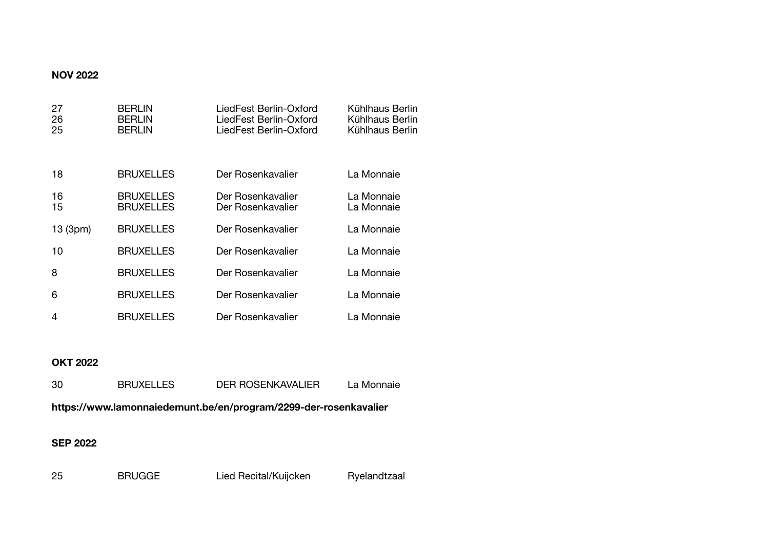### **NOV 2022**

| 27<br>26<br>25 | <b>BERLIN</b><br><b>BERLIN</b><br><b>BERLIN</b> | LiedFest Berlin-Oxford<br>LiedFest Berlin-Oxford<br>LiedFest Berlin-Oxford | Kühlhaus Berlin<br>Kühlhaus Berlin<br>Kühlhaus Berlin |
|----------------|-------------------------------------------------|----------------------------------------------------------------------------|-------------------------------------------------------|
| 18             | <b>BRUXELLES</b>                                | Der Rosenkavalier                                                          | La Monnaie                                            |
| 16<br>15       | <b>BRUXELLES</b><br><b>BRUXELLES</b>            | Der Rosenkavalier<br>Der Rosenkavalier                                     | La Monnaie<br>La Monnaie                              |
| 13 (3pm)       | <b>BRUXELLES</b>                                | Der Rosenkavalier                                                          | La Monnaie                                            |
| 10             | <b>BRUXELLES</b>                                | Der Rosenkavalier                                                          | La Monnaie                                            |
| 8              | <b>BRUXELLES</b>                                | Der Rosenkavalier                                                          | La Monnaie                                            |
| 6              | <b>BRUXELLES</b>                                | Der Rosenkavalier                                                          | La Monnaie                                            |
| 4              | <b>BRUXELLES</b>                                | Der Rosenkavalier                                                          | La Monnaie                                            |

## **OKT 2022**

| -30                                                              | <b>BRUXELLES</b> | DER ROSENKAVALIER | La Monnaie |
|------------------------------------------------------------------|------------------|-------------------|------------|
| https://www.lamonnaiedemunt.be/en/program/2299-der-rosenkavalier |                  |                   |            |

## **SEP 2022**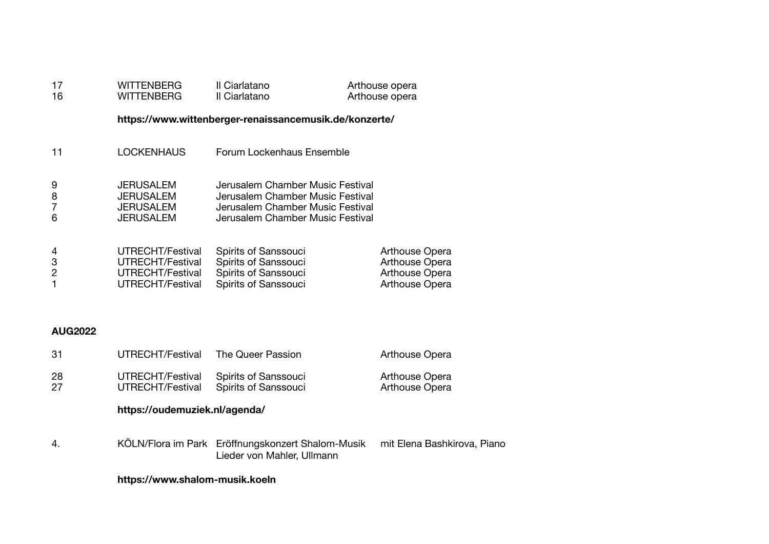| 17<br>16                 | WITTENBERG<br>WITTENBERG                                                     | Il Ciarlatano<br>Il Ciarlatano                                                                                                               | Arthouse opera<br>Arthouse opera                                     |
|--------------------------|------------------------------------------------------------------------------|----------------------------------------------------------------------------------------------------------------------------------------------|----------------------------------------------------------------------|
|                          |                                                                              | https://www.wittenberger-renaissancemusik.de/konzerte/                                                                                       |                                                                      |
| 11                       | <b>LOCKENHAUS</b>                                                            | Forum Lockenhaus Ensemble                                                                                                                    |                                                                      |
| 9<br>8<br>6              | <b>JERUSALEM</b><br><b>JERUSALEM</b><br><b>JERUSALEM</b><br><b>JERUSALEM</b> | Jerusalem Chamber Music Festival<br>Jerusalem Chamber Music Festival<br>Jerusalem Chamber Music Festival<br>Jerusalem Chamber Music Festival |                                                                      |
| 4<br>3<br>$\overline{2}$ | UTRECHT/Festival<br>UTRECHT/Festival<br>UTRECHT/Festival<br>UTRECHT/Festival | Spirits of Sanssouci<br>Spirits of Sanssouci<br>Spirits of Sanssouci<br>Spirits of Sanssouci                                                 | Arthouse Opera<br>Arthouse Opera<br>Arthouse Opera<br>Arthouse Opera |

### **AUG2022**

|          | https://oudemuziek.nl/agenda/        |                                              |                                         |
|----------|--------------------------------------|----------------------------------------------|-----------------------------------------|
| 28<br>27 | UTRECHT/Festival<br>UTRECHT/Festival | Spirits of Sanssouci<br>Spirits of Sanssouci | Arthouse Opera<br><b>Arthouse Opera</b> |
| -31      | UTRECHT/Festival                     | The Queer Passion                            | <b>Arthouse Opera</b>                   |

4. KÖLN/Flora im Park Eröffnungskonzert Shalom-Musik mit Elena Bashkirova, Piano Lieder von Mahler, Ullmann

### **https://www.shalom-musik.koeln**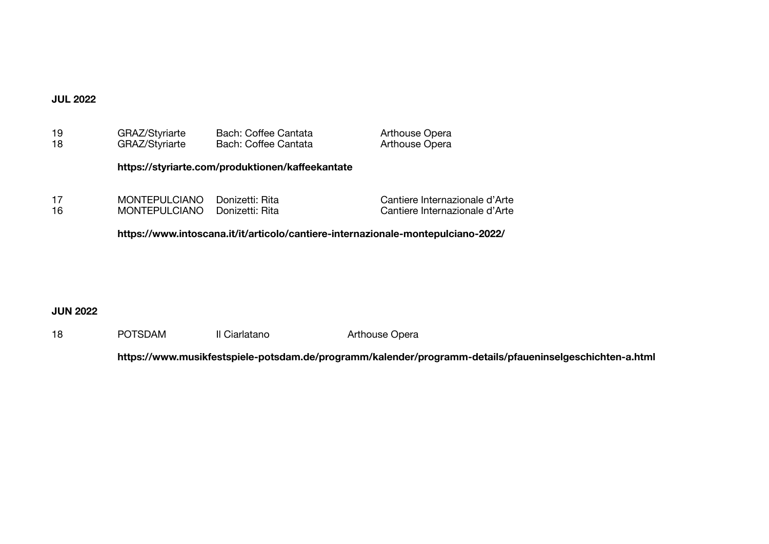### **JUL 2022**

| 19 | GRAZ/Styriarte       | Bach: Coffee Cantata                                                             | <b>Arthouse Opera</b>          |  |  |
|----|----------------------|----------------------------------------------------------------------------------|--------------------------------|--|--|
| 18 | GRAZ/Styriarte       | Bach: Coffee Cantata                                                             | <b>Arthouse Opera</b>          |  |  |
|    |                      | https://styriarte.com/produktionen/kaffeekantate                                 |                                |  |  |
| 17 | <b>MONTEPULCIANO</b> | Donizetti: Rita                                                                  | Cantiere Internazionale d'Arte |  |  |
| 16 | <b>MONTEPULCIANO</b> | Donizetti: Rita                                                                  | Cantiere Internazionale d'Arte |  |  |
|    |                      | https://www.intoscana.it/it/articolo/cantiere-internazionale-montepulciano-2022/ |                                |  |  |

## **JUN 2022**

18 POTSDAM Il Ciarlatano Arthouse Opera 

 **https://www.musikfestspiele-potsdam.de/programm/kalender/programm-details/pfaueninselgeschichten-a.html**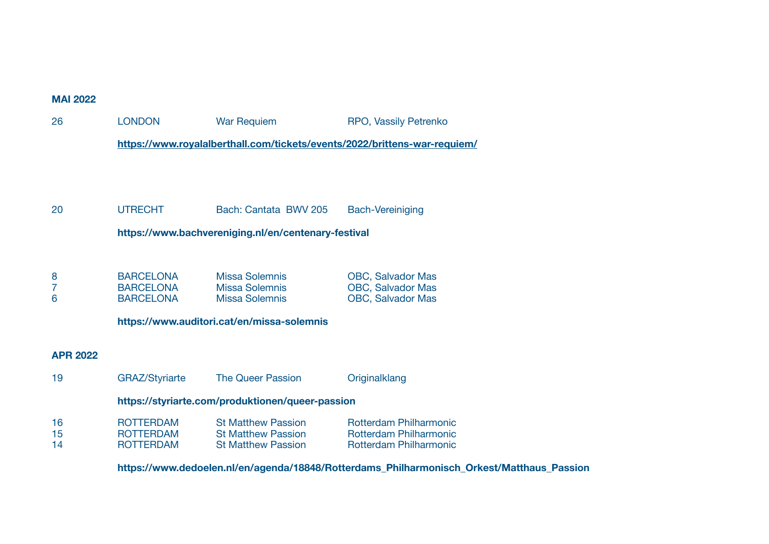#### **MAI 2022**

26 **LONDON** War Requiem RPO, Vassily Petrenko

 **<https://www.royalalberthall.com/tickets/events/2022/brittens-war-requiem/>**

### 20 UTRECHT Bach: Cantata BWV 205 Bach-Vereiniging

 **https://www.bachvereniging.nl/en/centenary-festival** 

| <b>BARCELONA</b> | Missa Solemnis        | <b>OBC, Salvador Mas</b> |
|------------------|-----------------------|--------------------------|
| <b>BARCELONA</b> | Missa Solemnis        | <b>OBC, Salvador Mas</b> |
| <b>BARCELONA</b> | <b>Missa Solemnis</b> | <b>OBC, Salvador Mas</b> |

 **https://www.auditori.cat/en/missa-solemnis** 

### **APR 2022**

19 **GRAZ/Styriarte** The Queer Passion **Diginalklang https://styriarte.com/produktionen/queer-passion** 16 ROTTERDAM St Matthew Passion Rotterdam Philharmonic 15 ROTTERDAM St Matthew Passion Rotterdam Philharmonic Rotterdam Philharmonic

 **https://www.dedoelen.nl/en/agenda/18848/Rotterdams\_Philharmonisch\_Orkest/Matthaus\_Passion**